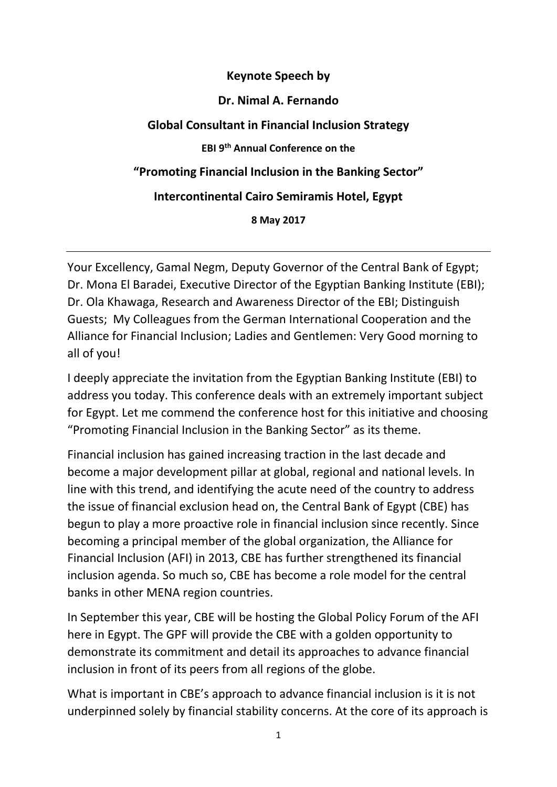#### **Keynote Speech by**

### **Dr. Nimal A. Fernando**

### **Global Consultant in Financial Inclusion Strategy**

**EBI 9th Annual Conference on the**

**"Promoting Financial Inclusion in the Banking Sector"**

### **Intercontinental Cairo Semiramis Hotel, Egypt**

**8 May 2017**

Your Excellency, Gamal Negm, Deputy Governor of the Central Bank of Egypt; Dr. Mona El Baradei, Executive Director of the Egyptian Banking Institute (EBI); Dr. Ola Khawaga, Research and Awareness Director of the EBI; Distinguish Guests; My Colleagues from the German International Cooperation and the Alliance for Financial Inclusion; Ladies and Gentlemen: Very Good morning to all of you!

I deeply appreciate the invitation from the Egyptian Banking Institute (EBI) to address you today. This conference deals with an extremely important subject for Egypt. Let me commend the conference host for this initiative and choosing "Promoting Financial Inclusion in the Banking Sector" as its theme.

Financial inclusion has gained increasing traction in the last decade and become a major development pillar at global, regional and national levels. In line with this trend, and identifying the acute need of the country to address the issue of financial exclusion head on, the Central Bank of Egypt (CBE) has begun to play a more proactive role in financial inclusion since recently. Since becoming a principal member of the global organization, the Alliance for Financial Inclusion (AFI) in 2013, CBE has further strengthened its financial inclusion agenda. So much so, CBE has become a role model for the central banks in other MENA region countries.

In September this year, CBE will be hosting the Global Policy Forum of the AFI here in Egypt. The GPF will provide the CBE with a golden opportunity to demonstrate its commitment and detail its approaches to advance financial inclusion in front of its peers from all regions of the globe.

What is important in CBE's approach to advance financial inclusion is it is not underpinned solely by financial stability concerns. At the core of its approach is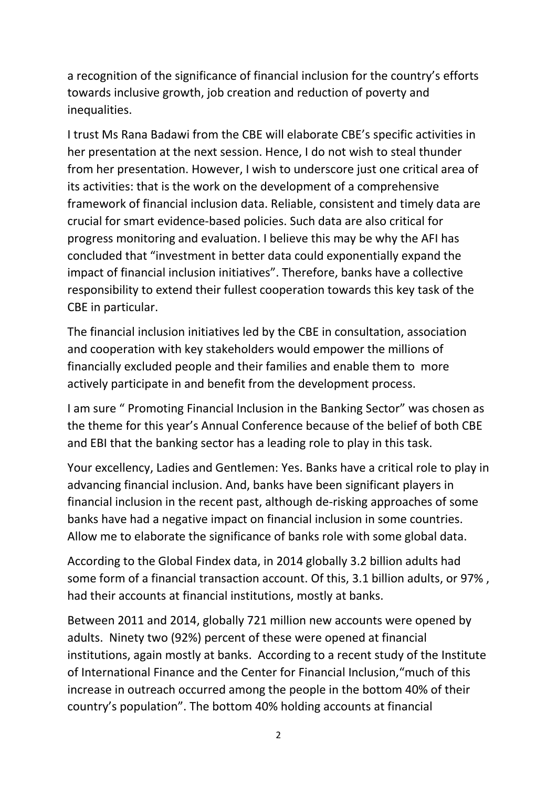a recognition of the significance of financial inclusion for the country's efforts towards inclusive growth, job creation and reduction of poverty and inequalities.

I trust Ms Rana Badawi from the CBE will elaborate CBE's specific activities in her presentation at the next session. Hence, I do not wish to steal thunder from her presentation. However, I wish to underscore just one critical area of its activities: that is the work on the development of a comprehensive framework of financial inclusion data. Reliable, consistent and timely data are crucial for smart evidence-based policies. Such data are also critical for progress monitoring and evaluation. I believe this may be why the AFI has concluded that "investment in better data could exponentially expand the impact of financial inclusion initiatives". Therefore, banks have a collective responsibility to extend their fullest cooperation towards this key task of the CBE in particular.

The financial inclusion initiatives led by the CBE in consultation, association and cooperation with key stakeholders would empower the millions of financially excluded people and their families and enable them to more actively participate in and benefit from the development process.

I am sure " Promoting Financial Inclusion in the Banking Sector" was chosen as the theme for this year's Annual Conference because of the belief of both CBE and EBI that the banking sector has a leading role to play in this task.

Your excellency, Ladies and Gentlemen: Yes. Banks have a critical role to play in advancing financial inclusion. And, banks have been significant players in financial inclusion in the recent past, although de-risking approaches of some banks have had a negative impact on financial inclusion in some countries. Allow me to elaborate the significance of banks role with some global data.

According to the Global Findex data, in 2014 globally 3.2 billion adults had some form of a financial transaction account. Of this, 3.1 billion adults, or 97% , had their accounts at financial institutions, mostly at banks.

Between 2011 and 2014, globally 721 million new accounts were opened by adults. Ninety two (92%) percent of these were opened at financial institutions, again mostly at banks. According to a recent study of the Institute of International Finance and the Center for Financial Inclusion,"much of this increase in outreach occurred among the people in the bottom 40% of their country's population". The bottom 40% holding accounts at financial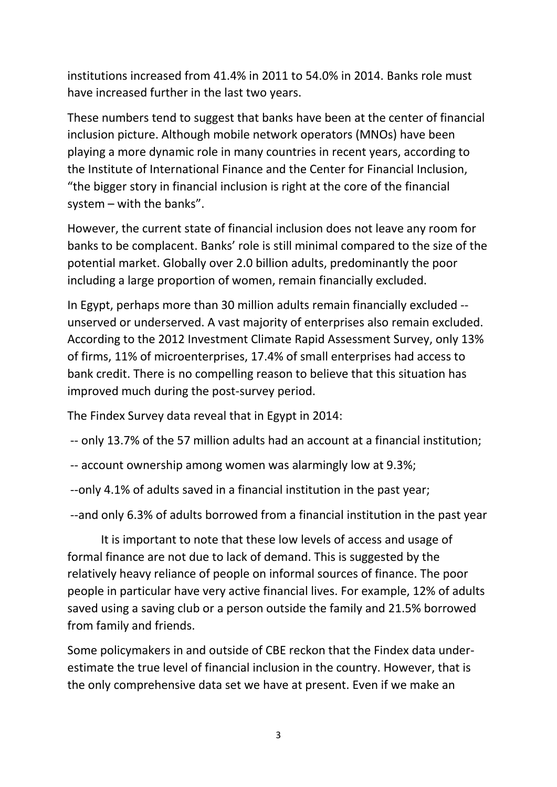institutions increased from 41.4% in 2011 to 54.0% in 2014. Banks role must have increased further in the last two years.

These numbers tend to suggest that banks have been at the center of financial inclusion picture. Although mobile network operators (MNOs) have been playing a more dynamic role in many countries in recent years, according to the Institute of International Finance and the Center for Financial Inclusion, "the bigger story in financial inclusion is right at the core of the financial system – with the banks".

However, the current state of financial inclusion does not leave any room for banks to be complacent. Banks' role is still minimal compared to the size of the potential market. Globally over 2.0 billion adults, predominantly the poor including a large proportion of women, remain financially excluded.

In Egypt, perhaps more than 30 million adults remain financially excluded - unserved or underserved. A vast majority of enterprises also remain excluded. According to the 2012 Investment Climate Rapid Assessment Survey, only 13% of firms, 11% of microenterprises, 17.4% of small enterprises had access to bank credit. There is no compelling reason to believe that this situation has improved much during the post-survey period.

The Findex Survey data reveal that in Egypt in 2014:

-- only 13.7% of the 57 million adults had an account at a financial institution;

-- account ownership among women was alarmingly low at 9.3%;

--only 4.1% of adults saved in a financial institution in the past year;

--and only 6.3% of adults borrowed from a financial institution in the past year

It is important to note that these low levels of access and usage of formal finance are not due to lack of demand. This is suggested by the relatively heavy reliance of people on informal sources of finance. The poor people in particular have very active financial lives. For example, 12% of adults saved using a saving club or a person outside the family and 21.5% borrowed from family and friends.

Some policymakers in and outside of CBE reckon that the Findex data underestimate the true level of financial inclusion in the country. However, that is the only comprehensive data set we have at present. Even if we make an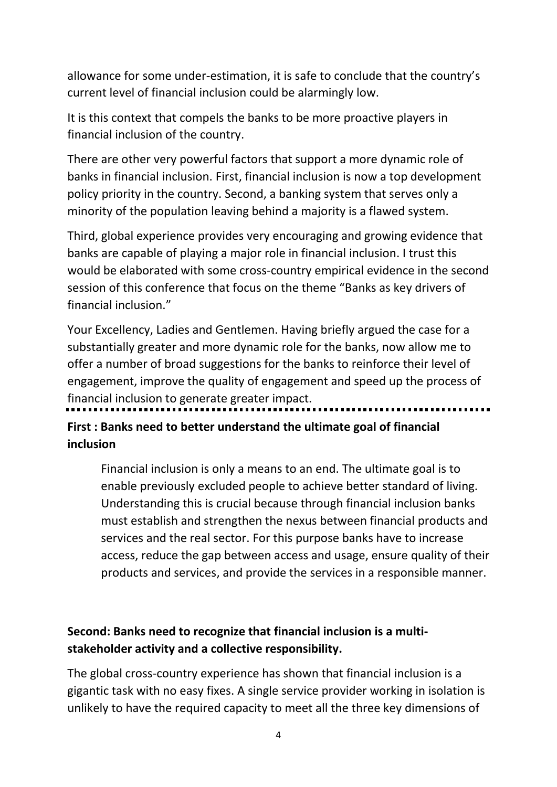allowance for some under-estimation, it is safe to conclude that the country's current level of financial inclusion could be alarmingly low.

It is this context that compels the banks to be more proactive players in financial inclusion of the country.

There are other very powerful factors that support a more dynamic role of banks in financial inclusion. First, financial inclusion is now a top development policy priority in the country. Second, a banking system that serves only a minority of the population leaving behind a majority is a flawed system.

Third, global experience provides very encouraging and growing evidence that banks are capable of playing a major role in financial inclusion. I trust this would be elaborated with some cross-country empirical evidence in the second session of this conference that focus on the theme "Banks as key drivers of financial inclusion."

Your Excellency, Ladies and Gentlemen. Having briefly argued the case for a substantially greater and more dynamic role for the banks, now allow me to offer a number of broad suggestions for the banks to reinforce their level of engagement, improve the quality of engagement and speed up the process of financial inclusion to generate greater impact.

# **First : Banks need to better understand the ultimate goal of financial inclusion**

Financial inclusion is only a means to an end. The ultimate goal is to enable previously excluded people to achieve better standard of living. Understanding this is crucial because through financial inclusion banks must establish and strengthen the nexus between financial products and services and the real sector. For this purpose banks have to increase access, reduce the gap between access and usage, ensure quality of their products and services, and provide the services in a responsible manner.

# **Second: Banks need to recognize that financial inclusion is a multistakeholder activity and a collective responsibility.**

The global cross-country experience has shown that financial inclusion is a gigantic task with no easy fixes. A single service provider working in isolation is unlikely to have the required capacity to meet all the three key dimensions of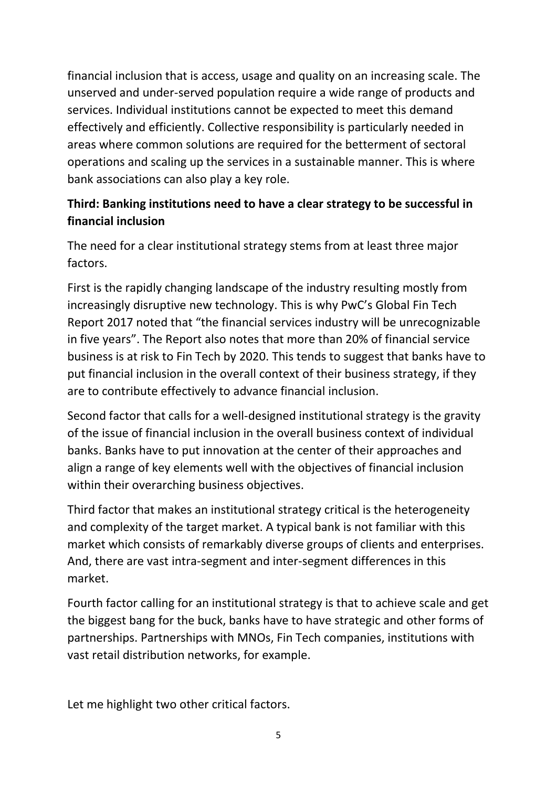financial inclusion that is access, usage and quality on an increasing scale. The unserved and under-served population require a wide range of products and services. Individual institutions cannot be expected to meet this demand effectively and efficiently. Collective responsibility is particularly needed in areas where common solutions are required for the betterment of sectoral operations and scaling up the services in a sustainable manner. This is where bank associations can also play a key role.

# **Third: Banking institutions need to have a clear strategy to be successful in financial inclusion**

The need for a clear institutional strategy stems from at least three major factors.

First is the rapidly changing landscape of the industry resulting mostly from increasingly disruptive new technology. This is why PwC's Global Fin Tech Report 2017 noted that "the financial services industry will be unrecognizable in five years". The Report also notes that more than 20% of financial service business is at risk to Fin Tech by 2020. This tends to suggest that banks have to put financial inclusion in the overall context of their business strategy, if they are to contribute effectively to advance financial inclusion.

Second factor that calls for a well-designed institutional strategy is the gravity of the issue of financial inclusion in the overall business context of individual banks. Banks have to put innovation at the center of their approaches and align a range of key elements well with the objectives of financial inclusion within their overarching business objectives.

Third factor that makes an institutional strategy critical is the heterogeneity and complexity of the target market. A typical bank is not familiar with this market which consists of remarkably diverse groups of clients and enterprises. And, there are vast intra-segment and inter-segment differences in this market.

Fourth factor calling for an institutional strategy is that to achieve scale and get the biggest bang for the buck, banks have to have strategic and other forms of partnerships. Partnerships with MNOs, Fin Tech companies, institutions with vast retail distribution networks, for example.

Let me highlight two other critical factors.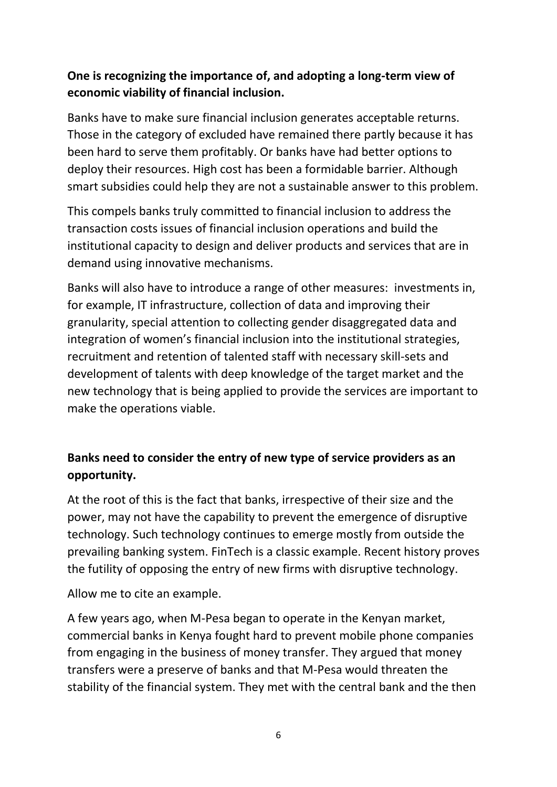### **One is recognizing the importance of, and adopting a long-term view of economic viability of financial inclusion.**

Banks have to make sure financial inclusion generates acceptable returns. Those in the category of excluded have remained there partly because it has been hard to serve them profitably. Or banks have had better options to deploy their resources. High cost has been a formidable barrier. Although smart subsidies could help they are not a sustainable answer to this problem.

This compels banks truly committed to financial inclusion to address the transaction costs issues of financial inclusion operations and build the institutional capacity to design and deliver products and services that are in demand using innovative mechanisms.

Banks will also have to introduce a range of other measures: investments in, for example, IT infrastructure, collection of data and improving their granularity, special attention to collecting gender disaggregated data and integration of women's financial inclusion into the institutional strategies, recruitment and retention of talented staff with necessary skill-sets and development of talents with deep knowledge of the target market and the new technology that is being applied to provide the services are important to make the operations viable.

# **Banks need to consider the entry of new type of service providers as an opportunity.**

At the root of this is the fact that banks, irrespective of their size and the power, may not have the capability to prevent the emergence of disruptive technology. Such technology continues to emerge mostly from outside the prevailing banking system. FinTech is a classic example. Recent history proves the futility of opposing the entry of new firms with disruptive technology.

Allow me to cite an example.

A few years ago, when M-Pesa began to operate in the Kenyan market, commercial banks in Kenya fought hard to prevent mobile phone companies from engaging in the business of money transfer. They argued that money transfers were a preserve of banks and that M-Pesa would threaten the stability of the financial system. They met with the central bank and the then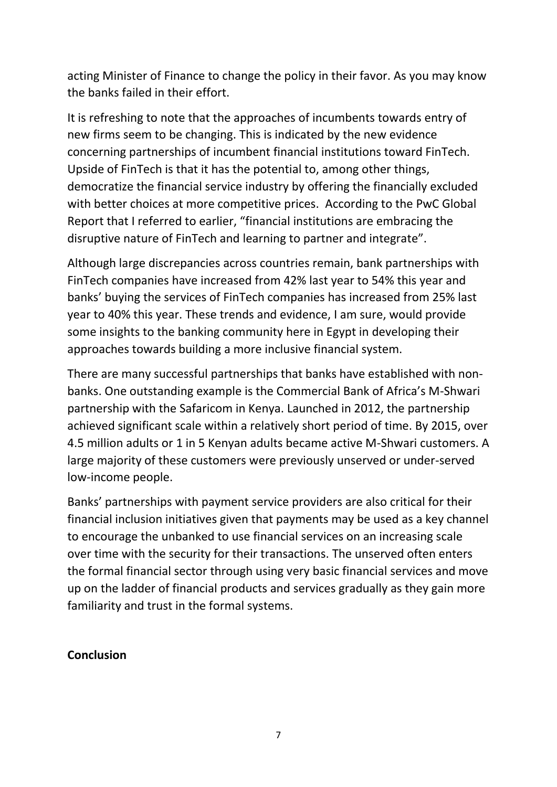acting Minister of Finance to change the policy in their favor. As you may know the banks failed in their effort.

It is refreshing to note that the approaches of incumbents towards entry of new firms seem to be changing. This is indicated by the new evidence concerning partnerships of incumbent financial institutions toward FinTech. Upside of FinTech is that it has the potential to, among other things, democratize the financial service industry by offering the financially excluded with better choices at more competitive prices. According to the PwC Global Report that I referred to earlier, "financial institutions are embracing the disruptive nature of FinTech and learning to partner and integrate".

Although large discrepancies across countries remain, bank partnerships with FinTech companies have increased from 42% last year to 54% this year and banks' buying the services of FinTech companies has increased from 25% last year to 40% this year. These trends and evidence, I am sure, would provide some insights to the banking community here in Egypt in developing their approaches towards building a more inclusive financial system.

There are many successful partnerships that banks have established with nonbanks. One outstanding example is the Commercial Bank of Africa's M-Shwari partnership with the Safaricom in Kenya. Launched in 2012, the partnership achieved significant scale within a relatively short period of time. By 2015, over 4.5 million adults or 1 in 5 Kenyan adults became active M-Shwari customers. A large majority of these customers were previously unserved or under-served low-income people.

Banks' partnerships with payment service providers are also critical for their financial inclusion initiatives given that payments may be used as a key channel to encourage the unbanked to use financial services on an increasing scale over time with the security for their transactions. The unserved often enters the formal financial sector through using very basic financial services and move up on the ladder of financial products and services gradually as they gain more familiarity and trust in the formal systems.

#### **Conclusion**